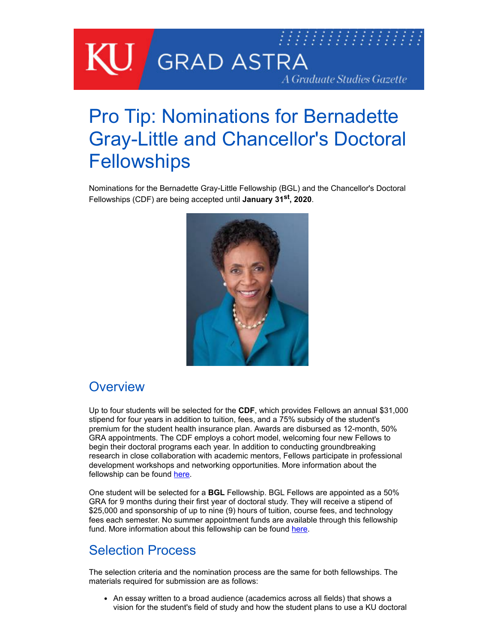

# Pro Tip: Nominations for Bernadette Gray-Little and Chancellor's Doctoral **Fellowships**

Nominations for the Bernadette Gray-Little Fellowship (BGL) and the Chancellor's Doctoral Fellowships (CDF) are being accepted until **January 31st , 2020**.



#### **Overview**

Up to four students will be selected for the **CDF**, which provides Fellows an annual \$31,000 stipend for four years in addition to tuition, fees, and a 75% subsidy of the student's premium for the student health insurance plan. Awards are disbursed as 12-month, 50% GRA appointments. The CDF employs a cohort model, welcoming four new Fellows to begin their doctoral programs each year. In addition to conducting groundbreaking research in close collaboration with academic mentors, Fellows participate in professional development workshops and networking opportunities. More information about the fellowship can be found [here.](http://graduate.ku.edu/chancellors-doctoral-fellowship)

One student will be selected for a **BGL** Fellowship. BGL Fellows are appointed as a 50% GRA for 9 months during their first year of doctoral study. They will receive a stipend of \$25,000 and sponsorship of up to nine (9) hours of tuition, course fees, and technology fees each semester. No summer appointment funds are available through this fellowship fund. More information about this fellowship can be found [here.](http://graduate.ku.edu/bernadette-gray-little-graduate-fellowship-0)

#### Selection Process

The selection criteria and the nomination process are the same for both fellowships. The materials required for submission are as follows:

An essay written to a broad audience (academics across all fields) that shows a vision for the student's field of study and how the student plans to use a KU doctoral